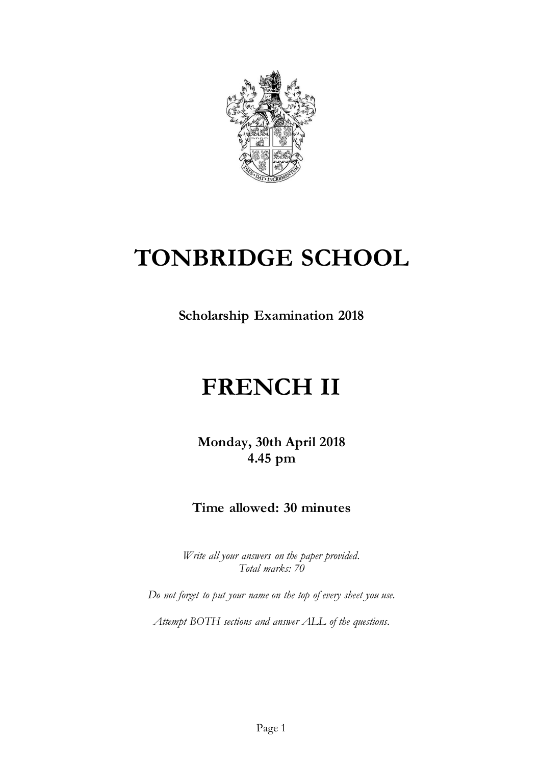

## **TONBRIDGE SCHOOL**

**Scholarship Examination 2018**

# **FRENCH II**

**Monday, 30th April 2018 4.45 pm**

### **Time allowed: 30 minutes**

*Write all your answers on the paper provided. Total marks: 70*

*Do not forget to put your name on the top of every sheet you use.*

*Attempt BOTH sections and answer ALL of the questions.*